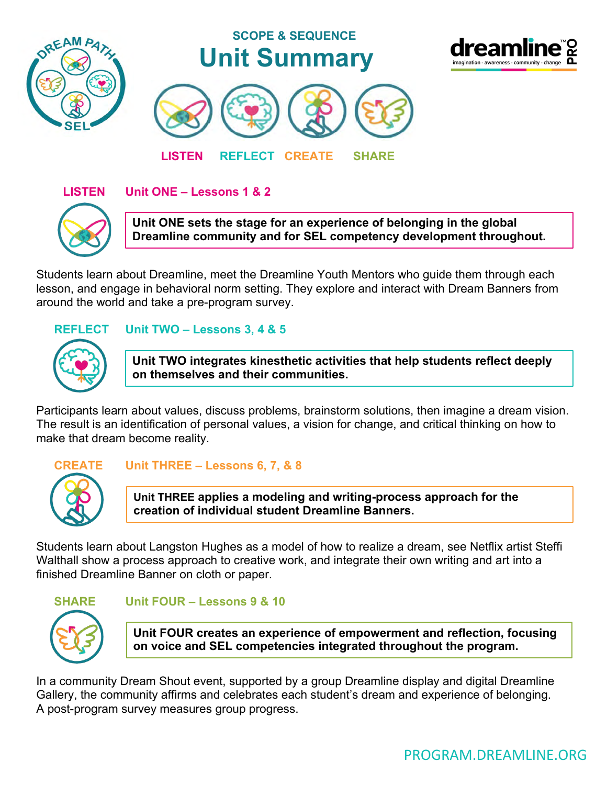

### **LISTEN Unit ONE – Lessons 1 & 2**



**Unit ONE sets the stage for an experience of belonging in the global Dreamline community and for SEL competency development throughout.**

Students learn about Dreamline, meet the Dreamline Youth Mentors who guide them through each lesson, and engage in behavioral norm setting. They explore and interact with Dream Banners from around the world and take a pre-program survey.

#### **REFLECT Unit TWO – Lessons 3, 4 & 5**

**Unit TWO integrates kinesthetic activities that help students reflect deeply on themselves and their communities.**

Participants learn about values, discuss problems, brainstorm solutions, then imagine a dream vision. The result is an identification of personal values, a vision for change, and critical thinking on how to make that dream become reality.



#### **CREATE Unit THREE – Lessons 6, 7, & 8**

**Unit THREE applies a modeling and writing-process approach for the creation of individual student Dreamline Banners.** 

Students learn about Langston Hughes as a model of how to realize a dream, see Netflix artist Steffi Walthall show a process approach to creative work, and integrate their own writing and art into a finished Dreamline Banner on cloth or paper.



#### **SHARE Unit FOUR – Lessons 9 & 10**

**Unit FOUR creates an experience of empowerment and reflection, focusing on voice and SEL competencies integrated throughout the program.**

In a community Dream Shout event, supported by a group Dreamline display and digital Dreamline Gallery, the community affirms and celebrates each student's dream and experience of belonging. A post-program survey measures group progress.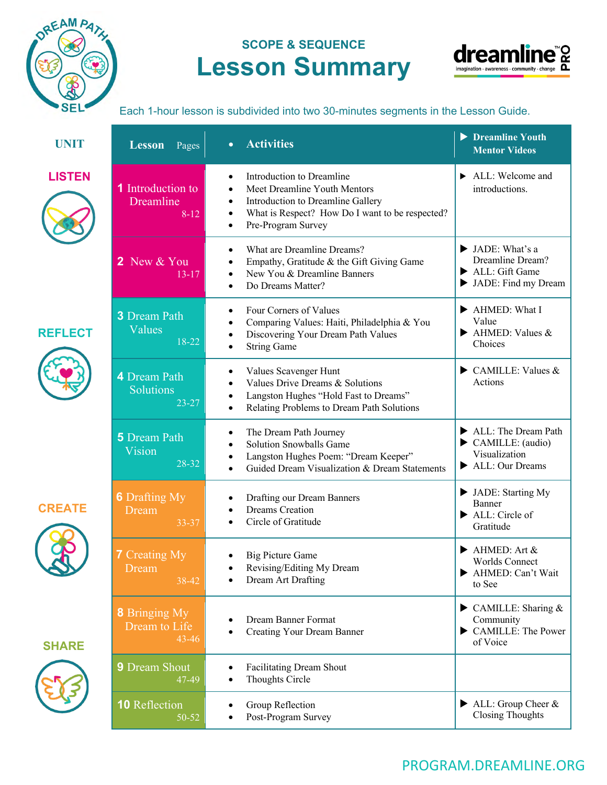

# **SCOPE & SEQUENCE Lesson Summary**



Each 1-hour lesson is subdivided into two 30-minutes segments in the Lesson Guide.

| <b>UNIT</b>    | <b>Lesson</b><br>Pages                             | <b>Activities</b><br>$\bullet$                                                                                                                                                                    | Dreamline Youth<br><b>Mentor Videos</b>                                             |
|----------------|----------------------------------------------------|---------------------------------------------------------------------------------------------------------------------------------------------------------------------------------------------------|-------------------------------------------------------------------------------------|
| <b>LISTEN</b>  | <b>1</b> Introduction to<br>Dreamline<br>$8-12$    | Introduction to Dreamline<br>Meet Dreamline Youth Mentors<br>Introduction to Dreamline Gallery<br>$\bullet$<br>What is Respect? How Do I want to be respected?<br>Pre-Program Survey<br>$\bullet$ | ALL: Welcome and<br>introductions.                                                  |
|                | 2 New & You<br>$13 - 17$                           | What are Dreamline Dreams?<br>Empathy, Gratitude & the Gift Giving Game<br>New You & Dreamline Banners<br>Do Dreams Matter?<br>٠                                                                  | IADE: What's a<br>Dreamline Dream?<br>ALL: Gift Game<br>IADE: Find my Dream         |
| <b>REFLECT</b> | <b>3</b> Dream Path<br>Values<br>18-22             | Four Corners of Values<br>Comparing Values: Haiti, Philadelphia & You<br>Discovering Your Dream Path Values<br>٠<br><b>String Game</b>                                                            | AHMED: What I<br>Value<br>$\blacktriangleright$ AHMED: Values &<br>Choices          |
|                | 4 Dream Path<br>Solutions<br>$23 - 27$             | Values Scavenger Hunt<br>Values Drive Dreams & Solutions<br>Langston Hughes "Hold Fast to Dreams"<br>Relating Problems to Dream Path Solutions                                                    | $\triangleright$ CAMILLE: Values &<br>Actions                                       |
|                | <b>5</b> Dream Path<br>Vision<br>28-32             | The Dream Path Journey<br>Solution Snowballs Game<br>Langston Hughes Poem: "Dream Keeper"<br>Guided Dream Visualization & Dream Statements                                                        | ALL: The Dream Path<br>CAMILLE: (audio)<br>Visualization<br>ALL: Our Dreams         |
| <b>CREATE</b>  | <b>6</b> Drafting My<br>Dream<br>33-37             | Drafting our Dream Banners<br><b>Dreams</b> Creation<br>$\bullet$<br>Circle of Gratitude<br>٠                                                                                                     | IADE: Starting My<br>Banner<br>ALL: Circle of<br>Gratitude                          |
|                | <b>7</b> Creating My<br>Dream<br>38-42             | <b>Big Picture Game</b><br>Revising/Editing My Dream<br>Dream Art Drafting                                                                                                                        | $\blacktriangleright$ AHMED: Art &<br>Worlds Connect<br>AHMED: Can't Wait<br>to See |
| <b>SHARE</b>   | <b>8</b> Bringing My<br>Dream to Life<br>$43 - 46$ | Dream Banner Format<br><b>Creating Your Dream Banner</b>                                                                                                                                          | $\triangleright$ CAMILLE: Sharing &<br>Community<br>CAMILLE: The Power<br>of Voice  |
|                | <b>9</b> Dream Shout<br>47-49                      | Facilitating Dream Shout<br>Thoughts Circle<br>$\bullet$                                                                                                                                          |                                                                                     |
|                | <b>10</b> Reflection<br>50-52                      | Group Reflection<br>Post-Program Survey                                                                                                                                                           | $\blacktriangleright$ ALL: Group Cheer &<br><b>Closing Thoughts</b>                 |